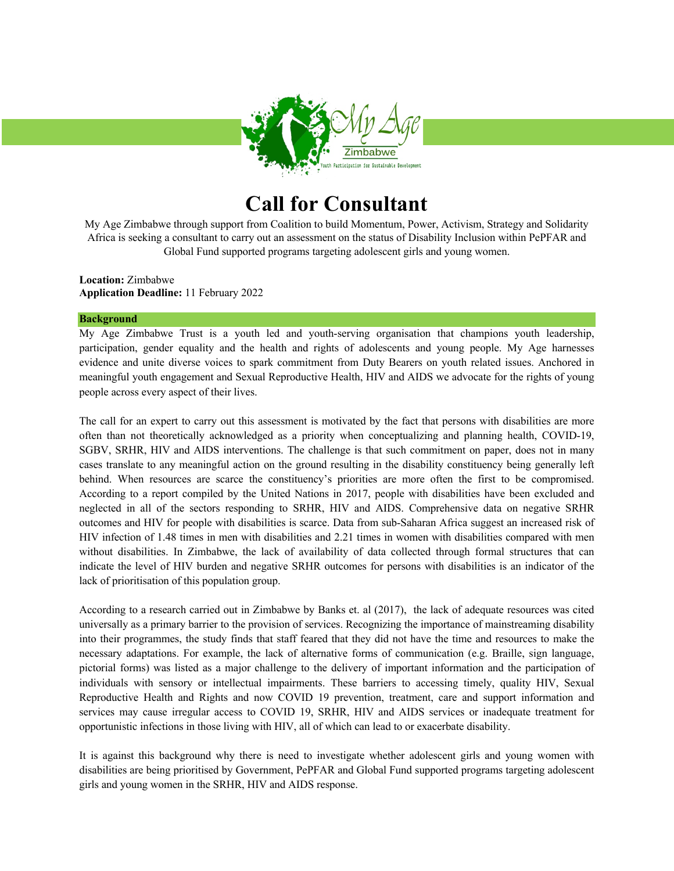

# **Call for Consultant**

My Age Zimbabwe through support from Coalition to build Momentum, Power, Activism, Strategy and Solidarity Africa is seeking a consultant to carry out an assessment on the status of Disability Inclusion within PePFAR and Global Fund supported programs targeting adolescent girls and young women.

**Location:** Zimbabwe **Application Deadline:** 11 February 2022

#### **Background**

My Age Zimbabwe Trust is a youth led and youth-serving organisation that champions youth leadership, participation, gender equality and the health and rights of adolescents and young people. My Age harnesses evidence and unite diverse voices to spark commitment from Duty Bearers on youth related issues. Anchored in meaningful youth engagement and Sexual Reproductive Health, HIV and AIDS we advocate for the rights of young people across every aspect of their lives.

The call for an expert to carry out this assessment is motivated by the fact that persons with disabilities are more often than not theoretically acknowledged as a priority when conceptualizing and planning health, COVID-19, SGBV, SRHR, HIV and AIDS interventions. The challenge is that such commitment on paper, does not in many cases translate to any meaningful action on the ground resulting in the disability constituency being generally left behind. When resources are scarce the constituency's priorities are more often the first to be compromised. According to a report compiled by the United Nations in 2017, people with disabilities have been excluded and neglected in all of the sectors responding to SRHR, HIV and AIDS. Comprehensive data on negative SRHR outcomes and HIV for people with disabilities is scarce. Data from sub-Saharan Africa suggest an increased risk of HIV infection of 1.48 times in men with disabilities and 2.21 times in women with disabilities compared with men without disabilities. In Zimbabwe, the lack of availability of data collected through formal structures that can indicate the level of HIV burden and negative SRHR outcomes for persons with disabilities is an indicator of the lack of prioritisation of this population group.

According to a research carried out in Zimbabwe by Banks et. al (2017), the lack of adequate resources was cited universally as a primary barrier to the provision of services. Recognizing the importance of mainstreaming disability into their programmes, the study finds that staff feared that they did not have the time and resources to make the necessary adaptations. For example, the lack of alternative forms of communication (e.g. Braille, sign language, pictorial forms) was listed as a major challenge to the delivery of important information and the participation of individuals with sensory or intellectual impairments. These barriers to accessing timely, quality HIV, Sexual Reproductive Health and Rights and now COVID 19 prevention, treatment, care and support information and services may cause irregular access to COVID 19, SRHR, HIV and AIDS services or inadequate treatment for opportunistic infections in those living with HIV, all of which can lead to or exacerbate disability.

It is against this background why there is need to investigate whether adolescent girls and young women with disabilities are being prioritised by Government, PePFAR and Global Fund supported programs targeting adolescent girls and young women in the SRHR, HIV and AIDS response.